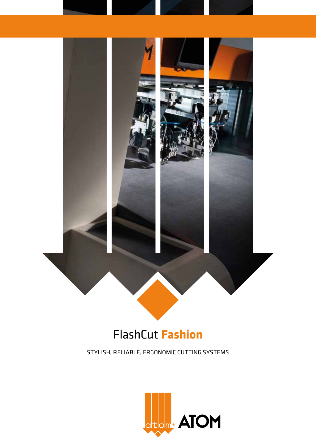

# FlashCut **Fashion**

STYLISH, RELIABLE, ERGONOMIC CUTTING SYSTEMS

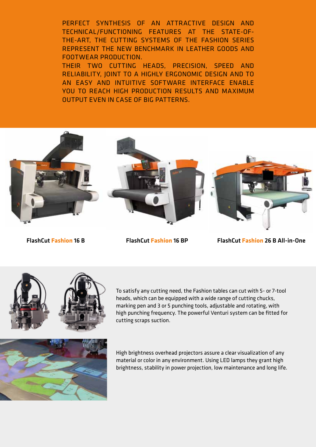PERFECT SYNTHESIS OF AN ATTRACTIVE DESIGN AND TECHNICAL/FUNCTIONING FEATURES AT THE STATE-OF-THE-ART, THE CUTTING SYSTEMS OF THE FASHION SERIES REPRESENT THE NEW BENCHMARK IN LEATHER GOODS AND FOOTWEAR PRODUCTION.

THEIR TWO CUTTING HEADS, PRECISION, SPEED AND RELIABILITY, JOINT TO A HIGHLY ERGONOMIC DESIGN AND TO AN EASY AND INTUITIVE SOFTWARE INTERFACE ENABLE YOU TO REACH HIGH PRODUCTION RESULTS AND MAXIMUM OUTPUT EVEN IN CASE OF BIG PATTERNS.



FlashCut **Fashion** 16 B FlashCut **Fashion** 16 BP FlashCut **Fashion** 26 B All-in-One



To satisfy any cutting need, the Fashion tables can cut with 5- or 7-tool heads, which can be equipped with a wide range of cutting chucks, marking pen and 3 or 5 punching tools, adjustable and rotating, with high punching frequency. The powerful Venturi system can be fitted for cutting scraps suction.



High brightness overhead projectors assure a clear visualization of any material or color in any environment. Using LED lamps they grant high brightness, stability in power projection, low maintenance and long life.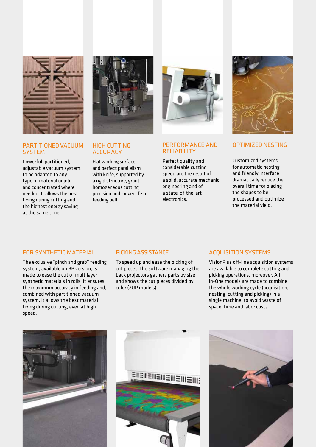

# PARTITIONED VACUUM **SYSTEM**

Powerful, partitioned, adjustable vacuum system, to be adapted to any type of material or job and concentrated where needed. It allows the best fixing during cutting and the highest energy saving at the same time.



# HIGH CUTTING **ACCURACY**

Flat working surface and perfect parallelism with knife, supported by a rigid structure, grant homogeneous cutting precision and longer life to feeding belt..



## PERFORMANCE AND RELIABILITY

Perfect quality and considerable cutting speed are the result of a solid, accurate mechanic engineering and of a state-of-the-art electronics.



## OPTIMIZED NESTING

Customized systems for automatic nesting and friendly interface dramatically reduce the overall time for placing the shapes to be processed and optimize the material yield.

#### FOR SYNTHETIC MATERIAL

The exclusive "pinch and grab" feeding system, available on BP version, is made to ease the cut of multilayer synthetic materials in rolls. It ensures the maximum accuracy in feeding and, combined with partitioned vacuum system, it allows the best material fixing during cutting, even at high speed.

#### PICKING ASSISTANCE

To speed up and ease the picking of cut pieces, the software managing the back projectors gathers parts by size and shows the cut pieces divided by color (2UP models).

#### ACQUISITION SYSTEMS

VisionPlus off-line acquisition systems are available to complete cutting and picking operations. moreover, Allin-One models are made to combine the whole working cycle (acquisition, nesting, cutting and picking) in a single machine, to avoid waste of space, time and labor costs.